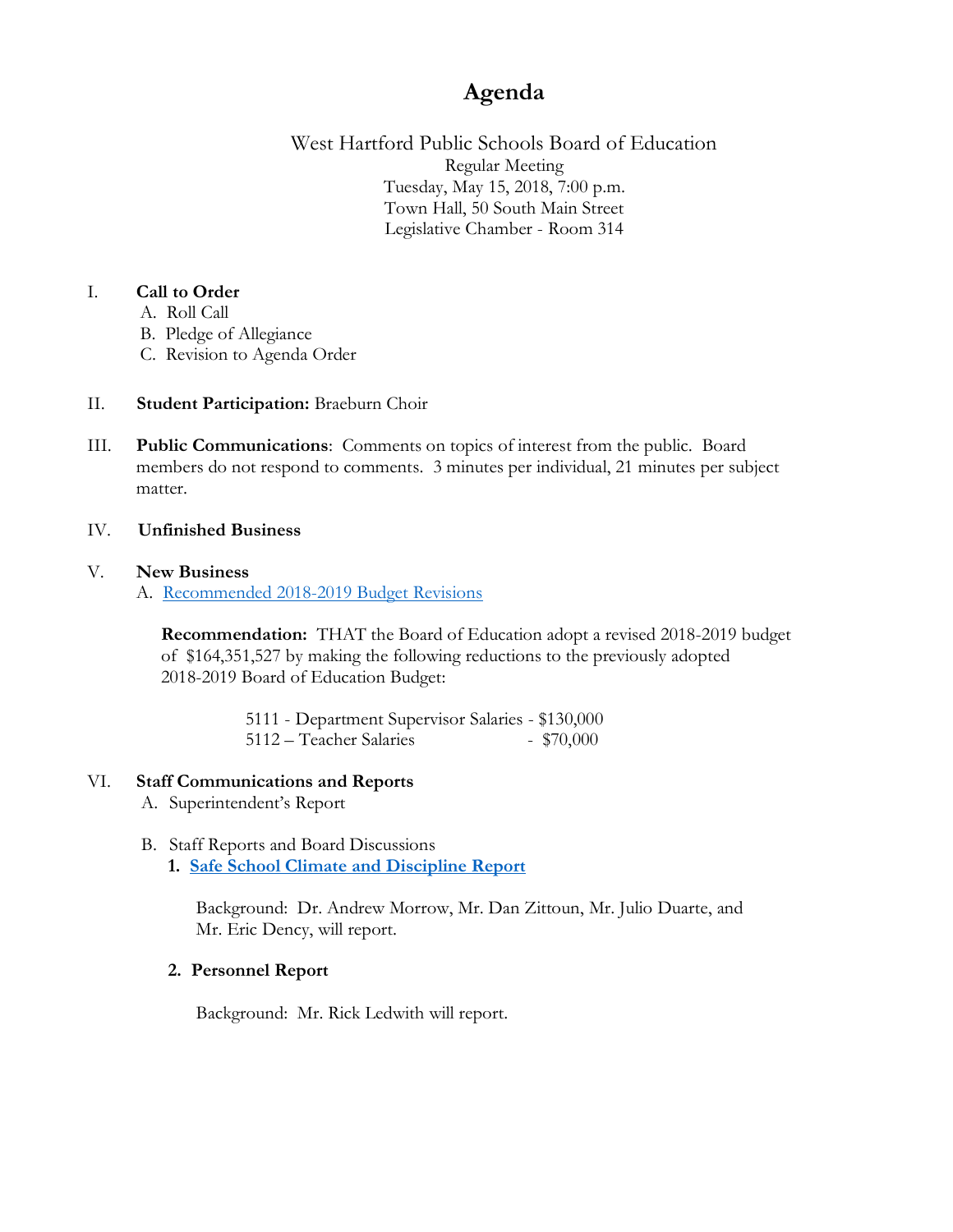# **Agenda**

West Hartford Public Schools Board of Education Regular Meeting Tuesday, May 15, 2018, 7:00 p.m. Town Hall, 50 South Main Street Legislative Chamber - Room 314

## I. **Call to Order**

- A. Roll Call
- B. Pledge of Allegiance
- C. Revision to Agenda Order

## II. **Student Participation:** Braeburn Choir

- III. **Public Communications**: Comments on topics of interest from the public. Board members do not respond to comments. 3 minutes per individual, 21 minutes per subject matter.
- IV. **Unfinished Business**

### V. **New Business**

A. [Recommended 2018-2019 Budget Revisions](https://www.whps.org/uploaded/BOE/BOE_Documents/20180515/budget_reductions_2018-19_5-15-18.pdf?1525977624889)

**Recommendation:** THAT the Board of Education adopt a revised 2018-2019 budget of \$164,351,527 by making the following reductions to the previously adopted 2018-2019 Board of Education Budget:

> 5111 - Department Supervisor Salaries - \$130,000 5112 – Teacher Salaries - \$70,000

# VI. **Staff Communications and Reports**

- A. Superintendent's Report
- B. Staff Reports and Board Discussions **1. [Safe School Climate and Discipline Report](https://www.whps.org/uploaded/BOE/BOE_Documents/20180515/2017-18_safe_school_climate-discipline_report_-final_version.pdf?1525977646545)**

Background: Dr. Andrew Morrow, Mr. Dan Zittoun, Mr. Julio Duarte, and Mr. Eric Dency, will report.

## **2. Personnel Report**

Background: Mr. Rick Ledwith will report.